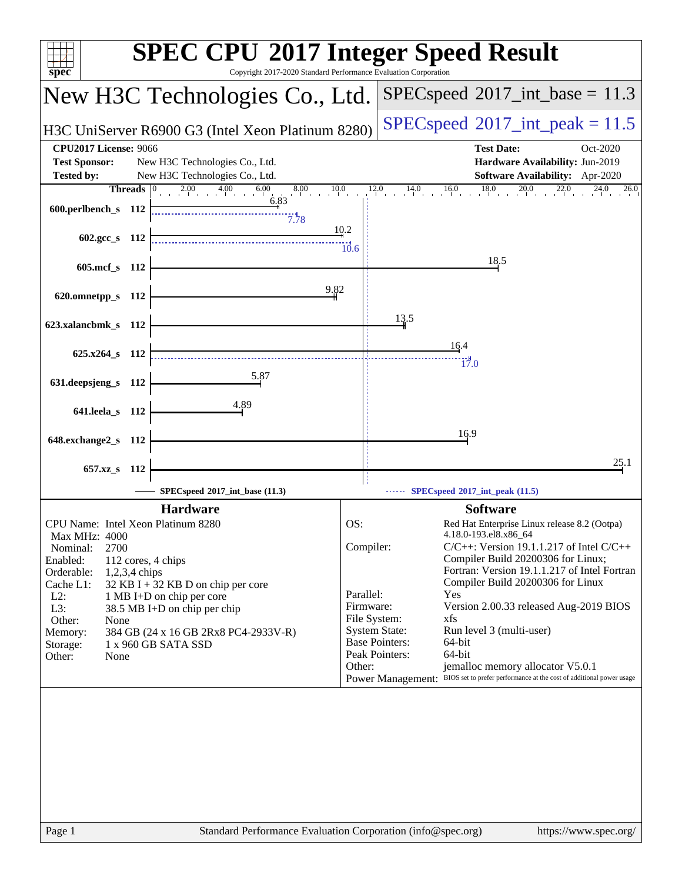| spec <sup>®</sup>                                                                                             | <b>SPEC CPU®2017 Integer Speed Result</b><br>Copyright 2017-2020 Standard Performance Evaluation Corporation                         |
|---------------------------------------------------------------------------------------------------------------|--------------------------------------------------------------------------------------------------------------------------------------|
| New H3C Technologies Co., Ltd.                                                                                | $SPEC speed^{\circ}2017\_int\_base = 11.3$                                                                                           |
| H3C UniServer R6900 G3 (Intel Xeon Platinum 8280)                                                             | $SPEC speed^{\circ}2017\_int\_peak = 11.5$                                                                                           |
| <b>CPU2017 License: 9066</b>                                                                                  | <b>Test Date:</b><br>Oct-2020                                                                                                        |
| <b>Test Sponsor:</b><br>New H3C Technologies Co., Ltd.<br><b>Tested by:</b><br>New H3C Technologies Co., Ltd. | Hardware Availability: Jun-2019<br>Software Availability: Apr-2020                                                                   |
| $2.00$ $4.00$ $6.00$<br><b>Threads</b> $\vert 0 \rangle$<br>$8.00 \qquad 10.0$<br>6.83                        | $12.0$ $14.0$ $16.0$ $18.0$ $20.0$ $22.0$ $24.0$ $26.0$                                                                              |
| 600.perlbench_s 112<br>7.78                                                                                   |                                                                                                                                      |
| 602.gcc_s 112                                                                                                 | 10.2<br>$\frac{11}{10.6}$                                                                                                            |
| 605.mcf_s 112                                                                                                 | 18.5                                                                                                                                 |
| 9.82<br>620.omnetpp_s 112                                                                                     |                                                                                                                                      |
|                                                                                                               | 13.5                                                                                                                                 |
| 623.xalancbmk_s 112                                                                                           |                                                                                                                                      |
| $625.x264 s$ 112                                                                                              | 16.4<br>17.0                                                                                                                         |
| 5.87<br>631.deepsjeng_s 112                                                                                   |                                                                                                                                      |
| 4.89<br>641.leela_s 112                                                                                       |                                                                                                                                      |
|                                                                                                               | 16.9                                                                                                                                 |
| 648.exchange2_s 112                                                                                           |                                                                                                                                      |
| 657.xz_s 112                                                                                                  | 25.1                                                                                                                                 |
| SPECspeed*2017_int_base (11.3)                                                                                | $\cdots$ SPECspeed®2017_int_peak (11.5)                                                                                              |
| <b>Hardware</b><br>CPU Name: Intel Xeon Platinum 8280                                                         | <b>Software</b><br>OS:<br>Red Hat Enterprise Linux release 8.2 (Ootpa)                                                               |
| Max MHz: 4000<br>2700<br>Nominal:                                                                             | 4.18.0-193.el8.x86_64<br>Compiler:<br>$C/C++$ : Version 19.1.1.217 of Intel $C/C++$                                                  |
| Enabled:<br>112 cores, 4 chips<br>Orderable:<br>$1,2,3,4$ chips                                               | Compiler Build 20200306 for Linux;<br>Fortran: Version 19.1.1.217 of Intel Fortran                                                   |
| Cache L1:<br>32 KB I + 32 KB D on chip per core                                                               | Compiler Build 20200306 for Linux<br>Parallel:<br>Yes                                                                                |
| $L2$ :<br>1 MB I+D on chip per core<br>L3:<br>38.5 MB I+D on chip per chip                                    | Firmware:<br>Version 2.00.33 released Aug-2019 BIOS<br>File System:<br>xfs                                                           |
| Other:<br>None<br>384 GB (24 x 16 GB 2Rx8 PC4-2933V-R)<br>Memory:                                             | <b>System State:</b><br>Run level 3 (multi-user)                                                                                     |
| Storage:<br>1 x 960 GB SATA SSD<br>Other:<br>None                                                             | <b>Base Pointers:</b><br>64-bit<br>Peak Pointers:<br>64-bit                                                                          |
|                                                                                                               | jemalloc memory allocator V5.0.1<br>Other:<br>Power Management: BIOS set to prefer performance at the cost of additional power usage |
|                                                                                                               |                                                                                                                                      |
|                                                                                                               |                                                                                                                                      |
|                                                                                                               |                                                                                                                                      |
|                                                                                                               |                                                                                                                                      |
|                                                                                                               |                                                                                                                                      |
|                                                                                                               |                                                                                                                                      |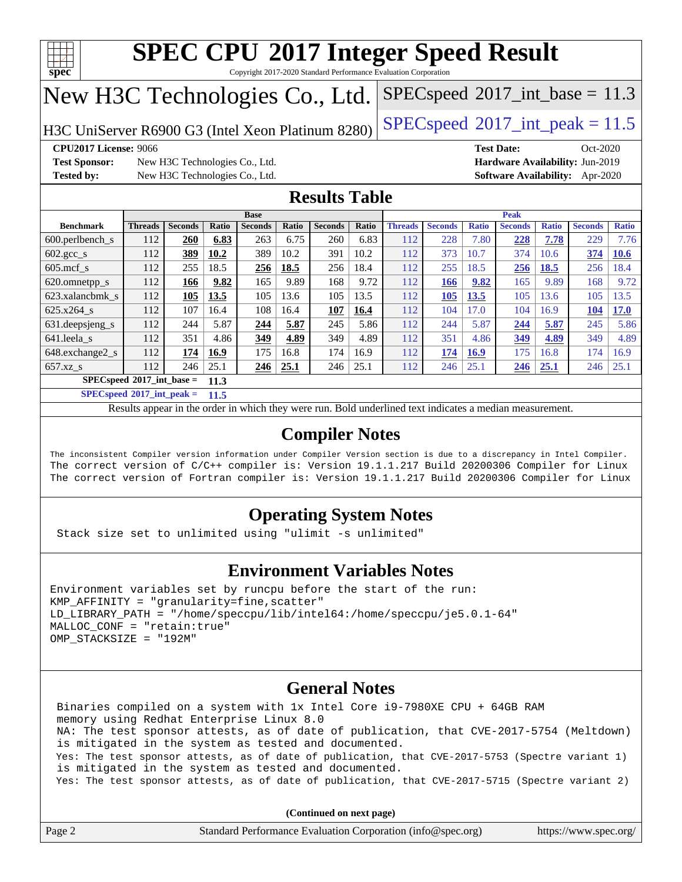

Copyright 2017-2020 Standard Performance Evaluation Corporation

## New H3C Technologies Co., Ltd.

H3C UniServer R6900 G3 (Intel Xeon Platinum 8280) [SPECspeed](http://www.spec.org/auto/cpu2017/Docs/result-fields.html#SPECspeed2017intpeak)®2017\_int\_peak =  $11.5$ 

 $SPECspeed^{\circ}2017\_int\_base = 11.3$  $SPECspeed^{\circ}2017\_int\_base = 11.3$ 

**[Test Sponsor:](http://www.spec.org/auto/cpu2017/Docs/result-fields.html#TestSponsor)** New H3C Technologies Co., Ltd. **[Hardware Availability:](http://www.spec.org/auto/cpu2017/Docs/result-fields.html#HardwareAvailability)** Jun-2019 **[Tested by:](http://www.spec.org/auto/cpu2017/Docs/result-fields.html#Testedby)** New H3C Technologies Co., Ltd. **[Software Availability:](http://www.spec.org/auto/cpu2017/Docs/result-fields.html#SoftwareAvailability)** Apr-2020

**[CPU2017 License:](http://www.spec.org/auto/cpu2017/Docs/result-fields.html#CPU2017License)** 9066 **[Test Date:](http://www.spec.org/auto/cpu2017/Docs/result-fields.html#TestDate)** Oct-2020

### **[Results Table](http://www.spec.org/auto/cpu2017/Docs/result-fields.html#ResultsTable)**

| <b>Base</b>                                |                |                | <b>Peak</b> |                |       |                |       |                |                |              |                |              |                |              |
|--------------------------------------------|----------------|----------------|-------------|----------------|-------|----------------|-------|----------------|----------------|--------------|----------------|--------------|----------------|--------------|
| <b>Benchmark</b>                           | <b>Threads</b> | <b>Seconds</b> | Ratio       | <b>Seconds</b> | Ratio | <b>Seconds</b> | Ratio | <b>Threads</b> | <b>Seconds</b> | <b>Ratio</b> | <b>Seconds</b> | <b>Ratio</b> | <b>Seconds</b> | <b>Ratio</b> |
| 600.perlbench s                            | 112            | 260            | 6.83        | 263            | 6.75  | 260            | 6.83  | 112            | 228            | 7.80         | 228            | 7.78         | 229            | 7.76         |
| $602 \text{.} \text{gcc}\text{.}$ s        | 112            | 389            | 10.2        | 389            | 10.2  | 391            | 10.2  | 112            | 373            | 10.7         | 374            | 10.6         | 374            | 10.6         |
| $605$ .mcf s                               | 112            | 255            | 18.5        | 256            | 18.5  | 256            | 18.4  | 112            | 255            | 18.5         | 256            | 18.5         | 256            | 18.4         |
| 620.omnetpp_s                              | 112            | 166            | 9.82        | 165            | 9.89  | 168            | 9.72  | 112            | 166            | 9.82         | 165            | 9.89         | 168            | 9.72         |
| 623.xalancbmk s                            | 112            | 105            | 13.5        | 105            | 13.6  | 105            | 13.5  | 112            | 105            | 13.5         | 105            | 13.6         | 105            | 13.5         |
| 625.x264 s                                 | 112            | 107            | 16.4        | 108            | 16.4  | 107            | 16.4  | 112            | 104            | 17.0         | 104            | 16.9         | 104            | <b>17.0</b>  |
| 631.deepsjeng_s                            | 112            | 244            | 5.87        | 244            | 5.87  | 245            | 5.86  | 112            | 244            | 5.87         | 244            | 5.87         | 245            | 5.86         |
| 641.leela s                                | 112            | 351            | 4.86        | 349            | 4.89  | 349            | 4.89  | 112            | 351            | 4.86         | 349            | 4.89         | 349            | 4.89         |
| 648.exchange2_s                            | 112            | 174            | 16.9        | 175            | 16.8  | 174            | 16.9  | 112            | 174            | 16.9         | 175            | 16.8         | 174            | 16.9         |
| $657.xz$ s                                 | 112            | 246            | 25.1        | 246            | 25.1  | 246            | 25.1  | 112            | 246            | 25.1         | 246            | <b>25.1</b>  | 246            | 25.1         |
| $SPECspeed^{\circ}2017$ int base =<br>11.3 |                |                |             |                |       |                |       |                |                |              |                |              |                |              |

**[SPECspeed](http://www.spec.org/auto/cpu2017/Docs/result-fields.html#SPECspeed2017intpeak)[2017\\_int\\_peak =](http://www.spec.org/auto/cpu2017/Docs/result-fields.html#SPECspeed2017intpeak) 11.5**

Results appear in the [order in which they were run.](http://www.spec.org/auto/cpu2017/Docs/result-fields.html#RunOrder) Bold underlined text [indicates a median measurement](http://www.spec.org/auto/cpu2017/Docs/result-fields.html#Median).

## **[Compiler Notes](http://www.spec.org/auto/cpu2017/Docs/result-fields.html#CompilerNotes)**

The inconsistent Compiler version information under Compiler Version section is due to a discrepancy in Intel Compiler. The correct version of C/C++ compiler is: Version 19.1.1.217 Build 20200306 Compiler for Linux The correct version of Fortran compiler is: Version 19.1.1.217 Build 20200306 Compiler for Linux

## **[Operating System Notes](http://www.spec.org/auto/cpu2017/Docs/result-fields.html#OperatingSystemNotes)**

Stack size set to unlimited using "ulimit -s unlimited"

### **[Environment Variables Notes](http://www.spec.org/auto/cpu2017/Docs/result-fields.html#EnvironmentVariablesNotes)**

```
Environment variables set by runcpu before the start of the run:
KMP AFFINITY = "granularity=fine, scatter"
LD_LIBRARY_PATH = "/home/speccpu/lib/intel64:/home/speccpu/je5.0.1-64"
MALLOC_CONF = "retain:true"
OMP_STACKSIZE = "192M"
```
### **[General Notes](http://www.spec.org/auto/cpu2017/Docs/result-fields.html#GeneralNotes)**

 Binaries compiled on a system with 1x Intel Core i9-7980XE CPU + 64GB RAM memory using Redhat Enterprise Linux 8.0 NA: The test sponsor attests, as of date of publication, that CVE-2017-5754 (Meltdown) is mitigated in the system as tested and documented. Yes: The test sponsor attests, as of date of publication, that CVE-2017-5753 (Spectre variant 1) is mitigated in the system as tested and documented. Yes: The test sponsor attests, as of date of publication, that CVE-2017-5715 (Spectre variant 2)

**(Continued on next page)**

| Page | Standard Performance Evaluation Corporation (info@spec.org) | https://www.spec.org/ |
|------|-------------------------------------------------------------|-----------------------|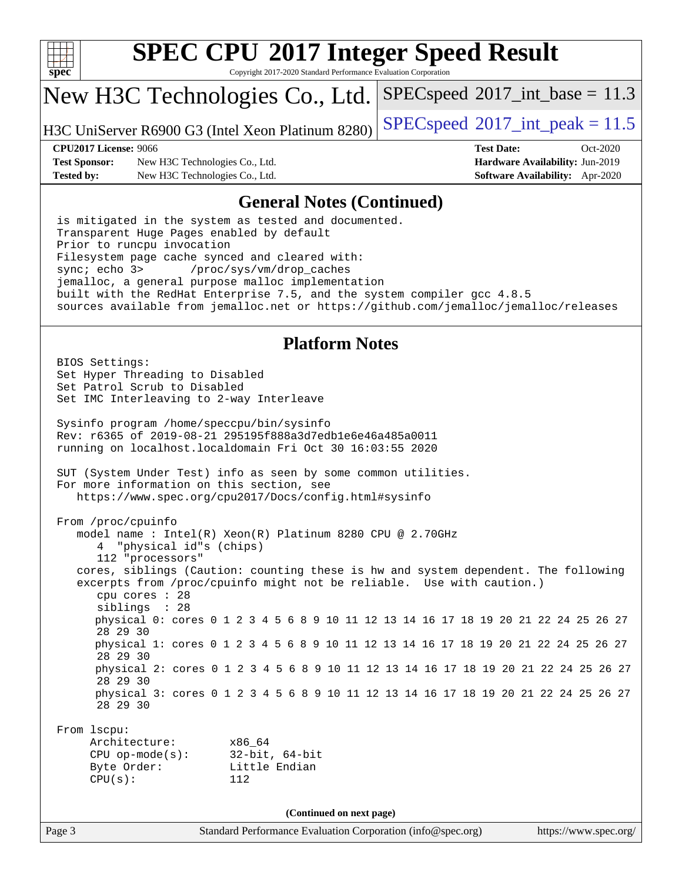

Copyright 2017-2020 Standard Performance Evaluation Corporation

## New H3C Technologies Co., Ltd.

H3C UniServer R6900 G3 (Intel Xeon Platinum 8280) [SPECspeed](http://www.spec.org/auto/cpu2017/Docs/result-fields.html#SPECspeed2017intpeak)®2017\_int\_peak =  $11.5$ 

 $SPECspeed^{\circ}2017\_int\_base = 11.3$  $SPECspeed^{\circ}2017\_int\_base = 11.3$ 

**[Test Sponsor:](http://www.spec.org/auto/cpu2017/Docs/result-fields.html#TestSponsor)** New H3C Technologies Co., Ltd. **[Hardware Availability:](http://www.spec.org/auto/cpu2017/Docs/result-fields.html#HardwareAvailability)** Jun-2019 **[Tested by:](http://www.spec.org/auto/cpu2017/Docs/result-fields.html#Testedby)** New H3C Technologies Co., Ltd. **[Software Availability:](http://www.spec.org/auto/cpu2017/Docs/result-fields.html#SoftwareAvailability)** Apr-2020

**[CPU2017 License:](http://www.spec.org/auto/cpu2017/Docs/result-fields.html#CPU2017License)** 9066 **[Test Date:](http://www.spec.org/auto/cpu2017/Docs/result-fields.html#TestDate)** Oct-2020

### **[General Notes \(Continued\)](http://www.spec.org/auto/cpu2017/Docs/result-fields.html#GeneralNotes)**

 is mitigated in the system as tested and documented. Transparent Huge Pages enabled by default Prior to runcpu invocation Filesystem page cache synced and cleared with: sync; echo 3> /proc/sys/vm/drop\_caches jemalloc, a general purpose malloc implementation built with the RedHat Enterprise 7.5, and the system compiler gcc 4.8.5 sources available from jemalloc.net or <https://github.com/jemalloc/jemalloc/releases>

### **[Platform Notes](http://www.spec.org/auto/cpu2017/Docs/result-fields.html#PlatformNotes)**

Page 3 Standard Performance Evaluation Corporation [\(info@spec.org\)](mailto:info@spec.org) <https://www.spec.org/> BIOS Settings: Set Hyper Threading to Disabled Set Patrol Scrub to Disabled Set IMC Interleaving to 2-way Interleave Sysinfo program /home/speccpu/bin/sysinfo Rev: r6365 of 2019-08-21 295195f888a3d7edb1e6e46a485a0011 running on localhost.localdomain Fri Oct 30 16:03:55 2020 SUT (System Under Test) info as seen by some common utilities. For more information on this section, see <https://www.spec.org/cpu2017/Docs/config.html#sysinfo> From /proc/cpuinfo model name : Intel(R) Xeon(R) Platinum 8280 CPU @ 2.70GHz 4 "physical id"s (chips) 112 "processors" cores, siblings (Caution: counting these is hw and system dependent. The following excerpts from /proc/cpuinfo might not be reliable. Use with caution.) cpu cores : 28 siblings : 28 physical 0: cores 0 1 2 3 4 5 6 8 9 10 11 12 13 14 16 17 18 19 20 21 22 24 25 26 27 28 29 30 physical 1: cores 0 1 2 3 4 5 6 8 9 10 11 12 13 14 16 17 18 19 20 21 22 24 25 26 27 28 29 30 physical 2: cores 0 1 2 3 4 5 6 8 9 10 11 12 13 14 16 17 18 19 20 21 22 24 25 26 27 28 29 30 physical 3: cores 0 1 2 3 4 5 6 8 9 10 11 12 13 14 16 17 18 19 20 21 22 24 25 26 27 28 29 30 From lscpu: Architecture: x86\_64 CPU op-mode(s): 32-bit, 64-bit Byte Order: Little Endian CPU(s): 112 **(Continued on next page)**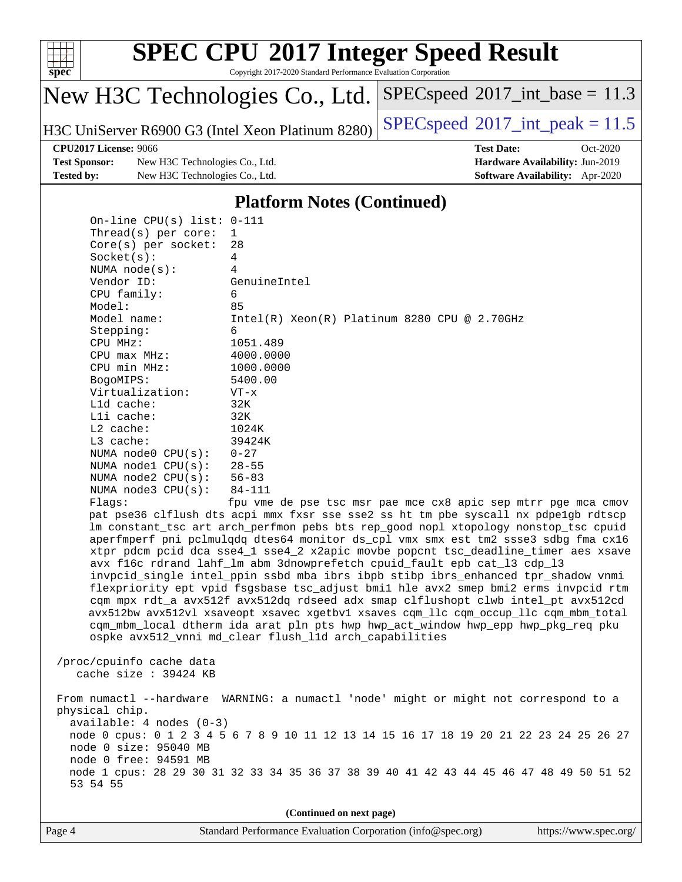

### **[SPEC CPU](http://www.spec.org/auto/cpu2017/Docs/result-fields.html#SPECCPU2017IntegerSpeedResult)[2017 Integer Speed Result](http://www.spec.org/auto/cpu2017/Docs/result-fields.html#SPECCPU2017IntegerSpeedResult)** Copyright 2017-2020 Standard Performance Evaluation Corporation

 $SPECspeed^{\circ}2017\_int\_base = 11.3$  $SPECspeed^{\circ}2017\_int\_base = 11.3$ 

New H3C Technologies Co., Ltd.

H3C UniServer R6900 G3 (Intel Xeon Platinum 8280) [SPECspeed](http://www.spec.org/auto/cpu2017/Docs/result-fields.html#SPECspeed2017intpeak)®2017\_int\_peak =  $11.5$ 

**[Test Sponsor:](http://www.spec.org/auto/cpu2017/Docs/result-fields.html#TestSponsor)** New H3C Technologies Co., Ltd. **[Hardware Availability:](http://www.spec.org/auto/cpu2017/Docs/result-fields.html#HardwareAvailability)** Jun-2019 **[Tested by:](http://www.spec.org/auto/cpu2017/Docs/result-fields.html#Testedby)** New H3C Technologies Co., Ltd. **[Software Availability:](http://www.spec.org/auto/cpu2017/Docs/result-fields.html#SoftwareAvailability)** Apr-2020

**[CPU2017 License:](http://www.spec.org/auto/cpu2017/Docs/result-fields.html#CPU2017License)** 9066 **[Test Date:](http://www.spec.org/auto/cpu2017/Docs/result-fields.html#TestDate)** Oct-2020

#### **[Platform Notes \(Continued\)](http://www.spec.org/auto/cpu2017/Docs/result-fields.html#PlatformNotes)**

 On-line CPU(s) list: 0-111 Thread(s) per core: 1 Core(s) per socket: 28 Socket(s): 4 NUMA node(s): 4 Vendor ID: GenuineIntel CPU family: 6 Model: 85 Model name: Intel(R) Xeon(R) Platinum 8280 CPU @ 2.70GHz Stepping: 6 CPU MHz: 1051.489 CPU max MHz: 4000.0000 CPU min MHz: 1000.0000 BogoMIPS: 5400.00 Virtualization: VT-x L1d cache: 32K L1i cache: 32K L2 cache: 1024K L3 cache: 39424K NUMA node0 CPU(s): 0-27 NUMA node1 CPU(s): 28-55 NUMA node2 CPU(s): 56-83 NUMA node3 CPU(s): 84-111 Flags: fpu vme de pse tsc msr pae mce cx8 apic sep mtrr pge mca cmov pat pse36 clflush dts acpi mmx fxsr sse sse2 ss ht tm pbe syscall nx pdpe1gb rdtscp lm constant\_tsc art arch\_perfmon pebs bts rep\_good nopl xtopology nonstop\_tsc cpuid aperfmperf pni pclmulqdq dtes64 monitor ds\_cpl vmx smx est tm2 ssse3 sdbg fma cx16 xtpr pdcm pcid dca sse4\_1 sse4\_2 x2apic movbe popcnt tsc\_deadline\_timer aes xsave avx f16c rdrand lahf\_lm abm 3dnowprefetch cpuid\_fault epb cat\_l3 cdp\_l3 invpcid\_single intel\_ppin ssbd mba ibrs ibpb stibp ibrs\_enhanced tpr\_shadow vnmi flexpriority ept vpid fsgsbase tsc\_adjust bmi1 hle avx2 smep bmi2 erms invpcid rtm cqm mpx rdt\_a avx512f avx512dq rdseed adx smap clflushopt clwb intel\_pt avx512cd avx512bw avx512vl xsaveopt xsavec xgetbv1 xsaves cqm\_llc cqm\_occup\_llc cqm\_mbm\_total cqm\_mbm\_local dtherm ida arat pln pts hwp hwp\_act\_window hwp\_epp hwp\_pkg\_req pku ospke avx512\_vnni md\_clear flush\_l1d arch\_capabilities /proc/cpuinfo cache data cache size : 39424 KB From numactl --hardware WARNING: a numactl 'node' might or might not correspond to a physical chip. available: 4 nodes (0-3) node 0 cpus: 0 1 2 3 4 5 6 7 8 9 10 11 12 13 14 15 16 17 18 19 20 21 22 23 24 25 26 27 node 0 size: 95040 MB node 0 free: 94591 MB

**(Continued on next page)**

node 1 cpus: 28 29 30 31 32 33 34 35 36 37 38 39 40 41 42 43 44 45 46 47 48 49 50 51 52

| e4 |  |  |
|----|--|--|
|    |  |  |

53 54 55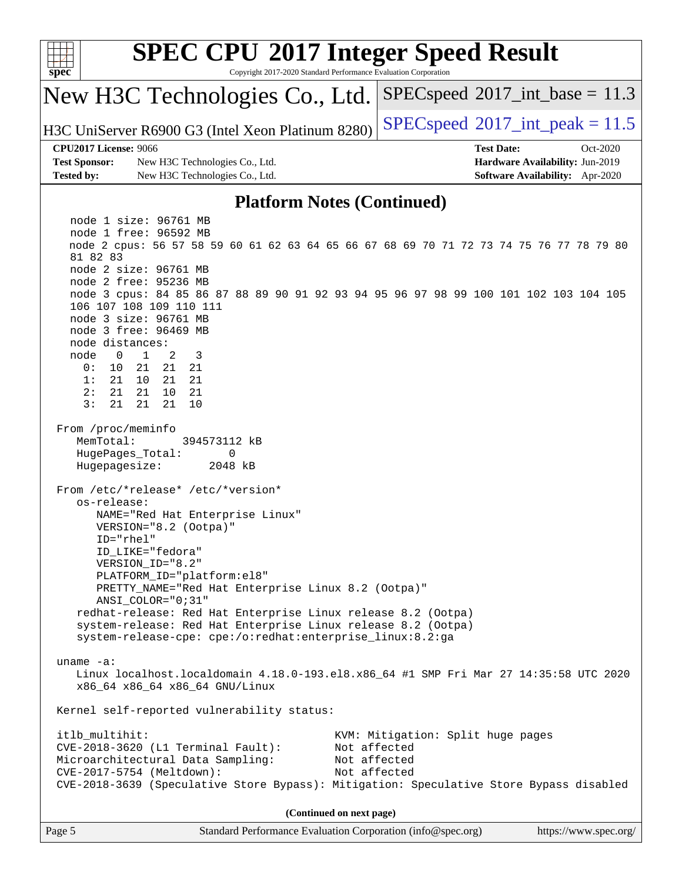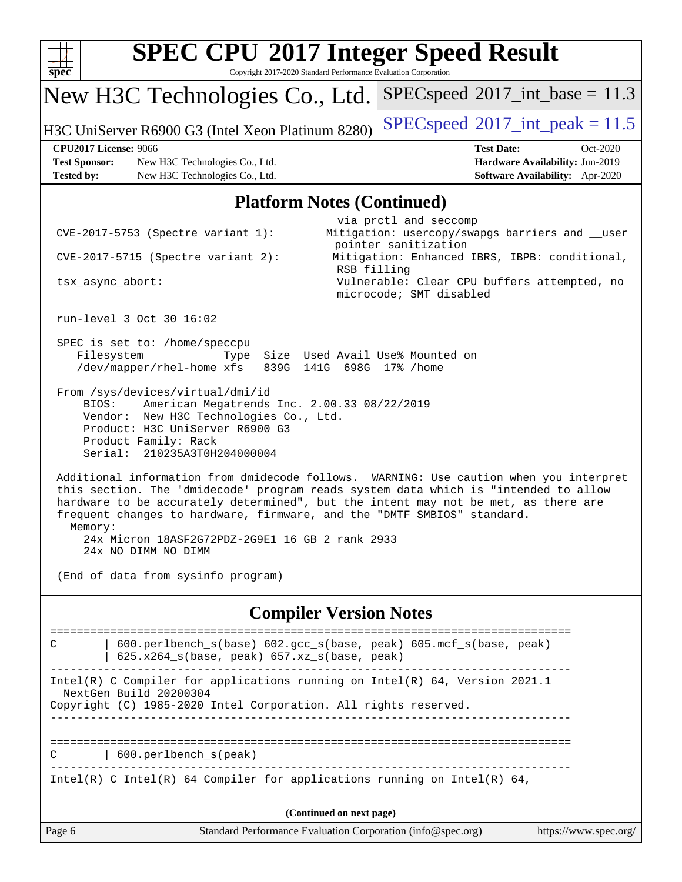| $spec^*$                                                                                                                                                                                                                                                                                                            | <b>SPEC CPU®2017 Integer Speed Result</b><br>Copyright 2017-2020 Standard Performance Evaluation Corporation                                                                                                                                                                                                                                                                                                                                                                                                                                                                                                                                                                                                                                                         |                                               |                                            |                                                                                |
|---------------------------------------------------------------------------------------------------------------------------------------------------------------------------------------------------------------------------------------------------------------------------------------------------------------------|----------------------------------------------------------------------------------------------------------------------------------------------------------------------------------------------------------------------------------------------------------------------------------------------------------------------------------------------------------------------------------------------------------------------------------------------------------------------------------------------------------------------------------------------------------------------------------------------------------------------------------------------------------------------------------------------------------------------------------------------------------------------|-----------------------------------------------|--------------------------------------------|--------------------------------------------------------------------------------|
|                                                                                                                                                                                                                                                                                                                     | New H3C Technologies Co., Ltd.                                                                                                                                                                                                                                                                                                                                                                                                                                                                                                                                                                                                                                                                                                                                       |                                               | $SPEC speed^{\circ}2017\_int\_base = 11.3$ |                                                                                |
|                                                                                                                                                                                                                                                                                                                     | H3C UniServer R6900 G3 (Intel Xeon Platinum 8280)                                                                                                                                                                                                                                                                                                                                                                                                                                                                                                                                                                                                                                                                                                                    |                                               | $SPEC speed^{\circ}2017\_int\_peak = 11.5$ |                                                                                |
| <b>CPU2017 License: 9066</b><br><b>Test Sponsor:</b><br><b>Tested by:</b>                                                                                                                                                                                                                                           | New H3C Technologies Co., Ltd.<br>New H3C Technologies Co., Ltd.                                                                                                                                                                                                                                                                                                                                                                                                                                                                                                                                                                                                                                                                                                     |                                               | <b>Test Date:</b>                          | Oct-2020<br>Hardware Availability: Jun-2019<br>Software Availability: Apr-2020 |
|                                                                                                                                                                                                                                                                                                                     | <b>Platform Notes (Continued)</b>                                                                                                                                                                                                                                                                                                                                                                                                                                                                                                                                                                                                                                                                                                                                    |                                               |                                            |                                                                                |
| via prctl and seccomp<br>Mitigation: usercopy/swapgs barriers and __user<br>$CVE-2017-5753$ (Spectre variant 1):<br>pointer sanitization<br>Mitigation: Enhanced IBRS, IBPB: conditional,<br>$CVE-2017-5715$ (Spectre variant 2):<br>RSB filling<br>Vulnerable: Clear CPU buffers attempted, no<br>tsx_async_abort: |                                                                                                                                                                                                                                                                                                                                                                                                                                                                                                                                                                                                                                                                                                                                                                      |                                               |                                            |                                                                                |
|                                                                                                                                                                                                                                                                                                                     |                                                                                                                                                                                                                                                                                                                                                                                                                                                                                                                                                                                                                                                                                                                                                                      |                                               | microcode; SMT disabled                    |                                                                                |
| run-level 3 Oct 30 16:02<br>Filesystem<br>BIOS:<br>Memory:                                                                                                                                                                                                                                                          | SPEC is set to: /home/speccpu<br>Type<br>/dev/mapper/rhel-home xfs<br>839G<br>From /sys/devices/virtual/dmi/id<br>American Megatrends Inc. 2.00.33 08/22/2019<br>Vendor: New H3C Technologies Co., Ltd.<br>Product: H3C UniServer R6900 G3<br>Product Family: Rack<br>Serial: 210235A3T0H204000004<br>Additional information from dmidecode follows. WARNING: Use caution when you interpret<br>this section. The 'dmidecode' program reads system data which is "intended to allow<br>hardware to be accurately determined", but the intent may not be met, as there are<br>frequent changes to hardware, firmware, and the "DMTF SMBIOS" standard.<br>24x Micron 18ASF2G72PDZ-2G9E1 16 GB 2 rank 2933<br>24x NO DIMM NO DIMM<br>(End of data from sysinfo program) | 141G 698G 17% / home                          | Size Used Avail Use% Mounted on            |                                                                                |
|                                                                                                                                                                                                                                                                                                                     |                                                                                                                                                                                                                                                                                                                                                                                                                                                                                                                                                                                                                                                                                                                                                                      | <b>Compiler Version Notes</b>                 |                                            |                                                                                |
| C<br>NextGen Build 20200304                                                                                                                                                                                                                                                                                         | 600.perlbench_s(base) 602.gcc_s(base, peak) 605.mcf_s(base, peak)<br>625.x264_s(base, peak) 657.xz_s(base, peak)<br>Intel(R) C Compiler for applications running on Intel(R) 64, Version 2021.1<br>Copyright (C) 1985-2020 Intel Corporation. All rights reserved.                                                                                                                                                                                                                                                                                                                                                                                                                                                                                                   |                                               |                                            |                                                                                |
| C                                                                                                                                                                                                                                                                                                                   | 600.perlbench_s(peak)<br>Intel(R) C Intel(R) 64 Compiler for applications running on Intel(R) 64,                                                                                                                                                                                                                                                                                                                                                                                                                                                                                                                                                                                                                                                                    | =====================<br>____________________ | ==============================             |                                                                                |
|                                                                                                                                                                                                                                                                                                                     |                                                                                                                                                                                                                                                                                                                                                                                                                                                                                                                                                                                                                                                                                                                                                                      | (Continued on next page)                      |                                            |                                                                                |
| Page 6                                                                                                                                                                                                                                                                                                              | Standard Performance Evaluation Corporation (info@spec.org)                                                                                                                                                                                                                                                                                                                                                                                                                                                                                                                                                                                                                                                                                                          |                                               |                                            | https://www.spec.org/                                                          |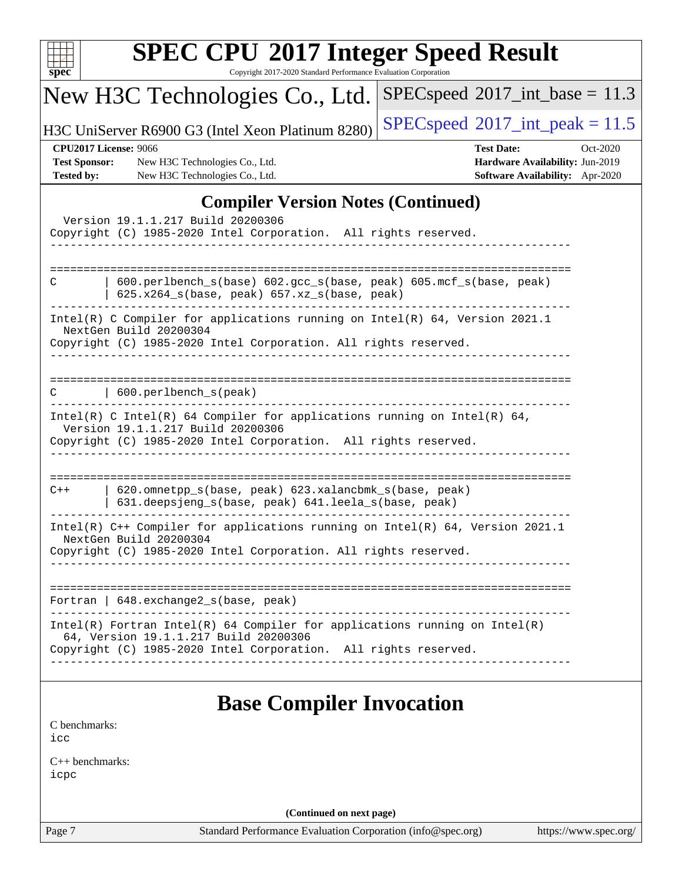| <b>SPEC CPU®2017 Integer Speed Result</b><br>Copyright 2017-2020 Standard Performance Evaluation Corporation<br>$spec^*$                                                                 |                                                                                                     |
|------------------------------------------------------------------------------------------------------------------------------------------------------------------------------------------|-----------------------------------------------------------------------------------------------------|
| New H3C Technologies Co., Ltd.                                                                                                                                                           | $SPEC speed^{\circ}2017\_int\_base = 11.3$                                                          |
| H3C UniServer R6900 G3 (Intel Xeon Platinum 8280)                                                                                                                                        | $SPEC speed^{\circ}2017\_int\_peak = 11.5$                                                          |
| <b>CPU2017 License: 9066</b><br><b>Test Sponsor:</b><br>New H3C Technologies Co., Ltd.<br><b>Tested by:</b><br>New H3C Technologies Co., Ltd.                                            | <b>Test Date:</b><br>Oct-2020<br>Hardware Availability: Jun-2019<br>Software Availability: Apr-2020 |
| <b>Compiler Version Notes (Continued)</b>                                                                                                                                                |                                                                                                     |
| Version 19.1.1.217 Build 20200306<br>Copyright (C) 1985-2020 Intel Corporation. All rights reserved.<br>----------                                                                       |                                                                                                     |
| 600.perlbench_s(base) 602.gcc_s(base, peak) 605.mcf_s(base, peak)<br>C<br>625.x264_s(base, peak) 657.xz_s(base, peak)                                                                    |                                                                                                     |
| Intel(R) C Compiler for applications running on Intel(R) 64, Version 2021.1<br>NextGen Build 20200304<br>Copyright (C) 1985-2020 Intel Corporation. All rights reserved.                 |                                                                                                     |
| 600.perlbench_s(peak)                                                                                                                                                                    |                                                                                                     |
| Intel(R) C Intel(R) 64 Compiler for applications running on Intel(R) 64,<br>Version 19.1.1.217 Build 20200306<br>Copyright (C) 1985-2020 Intel Corporation. All rights reserved.         |                                                                                                     |
| 620.omnetpp_s(base, peak) 623.xalancbmk_s(base, peak)<br>$C++$<br>631.deepsjeng_s(base, peak) 641.leela_s(base, peak)                                                                    |                                                                                                     |
| Intel(R) C++ Compiler for applications running on Intel(R) 64, Version 2021.1<br>NextGen Build 20200304<br>Copyright (C) 1985-2020 Intel Corporation. All rights reserved.               |                                                                                                     |
| Fortran   648.exchange2_s(base, peak)                                                                                                                                                    |                                                                                                     |
| $Intel(R)$ Fortran Intel(R) 64 Compiler for applications running on Intel(R)<br>64, Version 19.1.1.217 Build 20200306<br>Copyright (C) 1985-2020 Intel Corporation. All rights reserved. |                                                                                                     |
| <b>Base Compiler Invocation</b>                                                                                                                                                          |                                                                                                     |
| C benchmarks:<br>icc                                                                                                                                                                     |                                                                                                     |
| $C_{++}$ benchmarks:<br>icpc                                                                                                                                                             |                                                                                                     |

**(Continued on next page)**

Page 7 Standard Performance Evaluation Corporation [\(info@spec.org\)](mailto:info@spec.org) <https://www.spec.org/>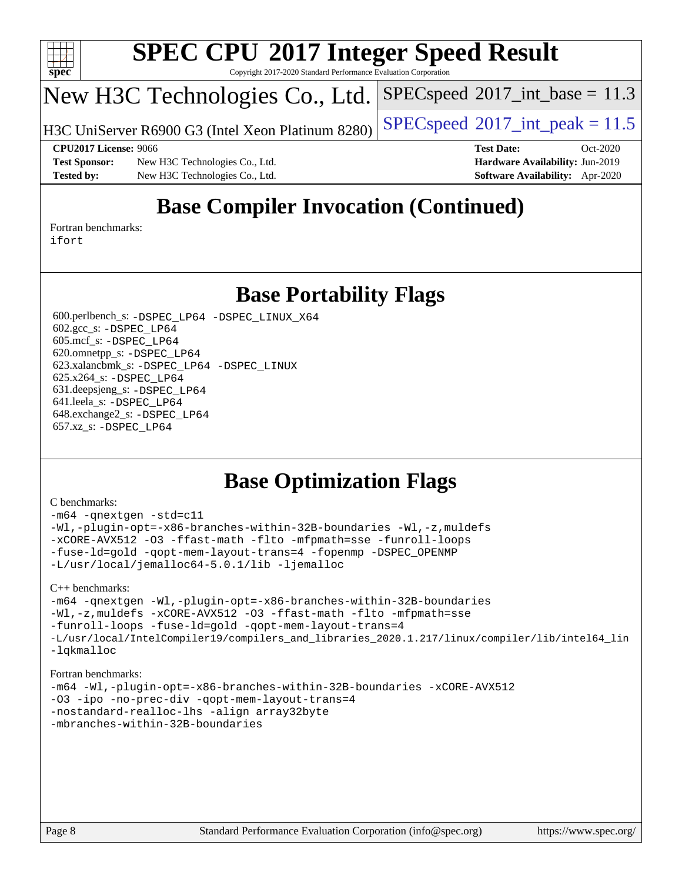

Copyright 2017-2020 Standard Performance Evaluation Corporation

## New H3C Technologies Co., Ltd.

H3C UniServer R6900 G3 (Intel Xeon Platinum 8280) [SPECspeed](http://www.spec.org/auto/cpu2017/Docs/result-fields.html#SPECspeed2017intpeak)®2017\_int\_peak =  $11.5$ 

 $SPECspeed^{\circ}2017\_int\_base = 11.3$  $SPECspeed^{\circ}2017\_int\_base = 11.3$ 

**[Test Sponsor:](http://www.spec.org/auto/cpu2017/Docs/result-fields.html#TestSponsor)** New H3C Technologies Co., Ltd. **[Hardware Availability:](http://www.spec.org/auto/cpu2017/Docs/result-fields.html#HardwareAvailability)** Jun-2019 **[Tested by:](http://www.spec.org/auto/cpu2017/Docs/result-fields.html#Testedby)** New H3C Technologies Co., Ltd. **[Software Availability:](http://www.spec.org/auto/cpu2017/Docs/result-fields.html#SoftwareAvailability)** Apr-2020

**[CPU2017 License:](http://www.spec.org/auto/cpu2017/Docs/result-fields.html#CPU2017License)** 9066 **[Test Date:](http://www.spec.org/auto/cpu2017/Docs/result-fields.html#TestDate)** Oct-2020

## **[Base Compiler Invocation \(Continued\)](http://www.spec.org/auto/cpu2017/Docs/result-fields.html#BaseCompilerInvocation)**

[Fortran benchmarks](http://www.spec.org/auto/cpu2017/Docs/result-fields.html#Fortranbenchmarks): [ifort](http://www.spec.org/cpu2017/results/res2020q4/cpu2017-20201105-24340.flags.html#user_FCbase_intel_ifort_8111460550e3ca792625aed983ce982f94888b8b503583aa7ba2b8303487b4d8a21a13e7191a45c5fd58ff318f48f9492884d4413fa793fd88dd292cad7027ca)

## **[Base Portability Flags](http://www.spec.org/auto/cpu2017/Docs/result-fields.html#BasePortabilityFlags)**

 600.perlbench\_s: [-DSPEC\\_LP64](http://www.spec.org/cpu2017/results/res2020q4/cpu2017-20201105-24340.flags.html#b600.perlbench_s_basePORTABILITY_DSPEC_LP64) [-DSPEC\\_LINUX\\_X64](http://www.spec.org/cpu2017/results/res2020q4/cpu2017-20201105-24340.flags.html#b600.perlbench_s_baseCPORTABILITY_DSPEC_LINUX_X64) 602.gcc\_s: [-DSPEC\\_LP64](http://www.spec.org/cpu2017/results/res2020q4/cpu2017-20201105-24340.flags.html#suite_basePORTABILITY602_gcc_s_DSPEC_LP64) 605.mcf\_s: [-DSPEC\\_LP64](http://www.spec.org/cpu2017/results/res2020q4/cpu2017-20201105-24340.flags.html#suite_basePORTABILITY605_mcf_s_DSPEC_LP64) 620.omnetpp\_s: [-DSPEC\\_LP64](http://www.spec.org/cpu2017/results/res2020q4/cpu2017-20201105-24340.flags.html#suite_basePORTABILITY620_omnetpp_s_DSPEC_LP64) 623.xalancbmk\_s: [-DSPEC\\_LP64](http://www.spec.org/cpu2017/results/res2020q4/cpu2017-20201105-24340.flags.html#suite_basePORTABILITY623_xalancbmk_s_DSPEC_LP64) [-DSPEC\\_LINUX](http://www.spec.org/cpu2017/results/res2020q4/cpu2017-20201105-24340.flags.html#b623.xalancbmk_s_baseCXXPORTABILITY_DSPEC_LINUX) 625.x264\_s: [-DSPEC\\_LP64](http://www.spec.org/cpu2017/results/res2020q4/cpu2017-20201105-24340.flags.html#suite_basePORTABILITY625_x264_s_DSPEC_LP64) 631.deepsjeng\_s: [-DSPEC\\_LP64](http://www.spec.org/cpu2017/results/res2020q4/cpu2017-20201105-24340.flags.html#suite_basePORTABILITY631_deepsjeng_s_DSPEC_LP64) 641.leela\_s: [-DSPEC\\_LP64](http://www.spec.org/cpu2017/results/res2020q4/cpu2017-20201105-24340.flags.html#suite_basePORTABILITY641_leela_s_DSPEC_LP64) 648.exchange2\_s: [-DSPEC\\_LP64](http://www.spec.org/cpu2017/results/res2020q4/cpu2017-20201105-24340.flags.html#suite_basePORTABILITY648_exchange2_s_DSPEC_LP64) 657.xz\_s: [-DSPEC\\_LP64](http://www.spec.org/cpu2017/results/res2020q4/cpu2017-20201105-24340.flags.html#suite_basePORTABILITY657_xz_s_DSPEC_LP64)

## **[Base Optimization Flags](http://www.spec.org/auto/cpu2017/Docs/result-fields.html#BaseOptimizationFlags)**

#### [C benchmarks](http://www.spec.org/auto/cpu2017/Docs/result-fields.html#Cbenchmarks):

[-m64](http://www.spec.org/cpu2017/results/res2020q4/cpu2017-20201105-24340.flags.html#user_CCbase_m64-icc) [-qnextgen](http://www.spec.org/cpu2017/results/res2020q4/cpu2017-20201105-24340.flags.html#user_CCbase_f-qnextgen) [-std=c11](http://www.spec.org/cpu2017/results/res2020q4/cpu2017-20201105-24340.flags.html#user_CCbase_std-icc-std_0e1c27790398a4642dfca32ffe6c27b5796f9c2d2676156f2e42c9c44eaad0c049b1cdb667a270c34d979996257aeb8fc440bfb01818dbc9357bd9d174cb8524) [-Wl,-plugin-opt=-x86-branches-within-32B-boundaries](http://www.spec.org/cpu2017/results/res2020q4/cpu2017-20201105-24340.flags.html#user_CCbase_f-x86-branches-within-32B-boundaries_0098b4e4317ae60947b7b728078a624952a08ac37a3c797dfb4ffeb399e0c61a9dd0f2f44ce917e9361fb9076ccb15e7824594512dd315205382d84209e912f3) [-Wl,-z,muldefs](http://www.spec.org/cpu2017/results/res2020q4/cpu2017-20201105-24340.flags.html#user_CCbase_link_force_multiple1_b4cbdb97b34bdee9ceefcfe54f4c8ea74255f0b02a4b23e853cdb0e18eb4525ac79b5a88067c842dd0ee6996c24547a27a4b99331201badda8798ef8a743f577) [-xCORE-AVX512](http://www.spec.org/cpu2017/results/res2020q4/cpu2017-20201105-24340.flags.html#user_CCbase_f-xCORE-AVX512) [-O3](http://www.spec.org/cpu2017/results/res2020q4/cpu2017-20201105-24340.flags.html#user_CCbase_f-O3) [-ffast-math](http://www.spec.org/cpu2017/results/res2020q4/cpu2017-20201105-24340.flags.html#user_CCbase_f-ffast-math) [-flto](http://www.spec.org/cpu2017/results/res2020q4/cpu2017-20201105-24340.flags.html#user_CCbase_f-flto) [-mfpmath=sse](http://www.spec.org/cpu2017/results/res2020q4/cpu2017-20201105-24340.flags.html#user_CCbase_f-mfpmath_70eb8fac26bde974f8ab713bc9086c5621c0b8d2f6c86f38af0bd7062540daf19db5f3a066d8c6684be05d84c9b6322eb3b5be6619d967835195b93d6c02afa1) [-funroll-loops](http://www.spec.org/cpu2017/results/res2020q4/cpu2017-20201105-24340.flags.html#user_CCbase_f-funroll-loops) [-fuse-ld=gold](http://www.spec.org/cpu2017/results/res2020q4/cpu2017-20201105-24340.flags.html#user_CCbase_f-fuse-ld_920b3586e2b8c6e0748b9c84fa9b744736ba725a32cab14ad8f3d4ad28eecb2f59d1144823d2e17006539a88734fe1fc08fc3035f7676166309105a78aaabc32) [-qopt-mem-layout-trans=4](http://www.spec.org/cpu2017/results/res2020q4/cpu2017-20201105-24340.flags.html#user_CCbase_f-qopt-mem-layout-trans_fa39e755916c150a61361b7846f310bcdf6f04e385ef281cadf3647acec3f0ae266d1a1d22d972a7087a248fd4e6ca390a3634700869573d231a252c784941a8) [-fopenmp](http://www.spec.org/cpu2017/results/res2020q4/cpu2017-20201105-24340.flags.html#user_CCbase_fopenmp_5aa2e47ce4f2ef030ba5d12d5a7a9c4e57167333d78243fcadb80b48d5abb78ff19333f8478e0b2a41e63049eb285965c145ccab7b93db7d0c4d59e4dc6f5591) [-DSPEC\\_OPENMP](http://www.spec.org/cpu2017/results/res2020q4/cpu2017-20201105-24340.flags.html#suite_CCbase_DSPEC_OPENMP) [-L/usr/local/jemalloc64-5.0.1/lib](http://www.spec.org/cpu2017/results/res2020q4/cpu2017-20201105-24340.flags.html#user_CCbase_jemalloc_link_path64_1_cc289568b1a6c0fd3b62c91b824c27fcb5af5e8098e6ad028160d21144ef1b8aef3170d2acf0bee98a8da324cfe4f67d0a3d0c4cc4673d993d694dc2a0df248b) [-ljemalloc](http://www.spec.org/cpu2017/results/res2020q4/cpu2017-20201105-24340.flags.html#user_CCbase_jemalloc_link_lib_d1249b907c500fa1c0672f44f562e3d0f79738ae9e3c4a9c376d49f265a04b9c99b167ecedbf6711b3085be911c67ff61f150a17b3472be731631ba4d0471706)

#### [C++ benchmarks:](http://www.spec.org/auto/cpu2017/Docs/result-fields.html#CXXbenchmarks)

```
-m64 -qnextgen -Wl,-plugin-opt=-x86-branches-within-32B-boundaries
-Wl,-z,muldefs -xCORE-AVX512 -O3 -ffast-math -flto -mfpmath=sse
-funroll-loops -fuse-ld=gold -qopt-mem-layout-trans=4
-L/usr/local/IntelCompiler19/compilers_and_libraries_2020.1.217/linux/compiler/lib/intel64_lin
-lqkmalloc
```
#### [Fortran benchmarks:](http://www.spec.org/auto/cpu2017/Docs/result-fields.html#Fortranbenchmarks)

```
-m64 -Wl,-plugin-opt=-x86-branches-within-32B-boundaries -xCORE-AVX512
-O3 -ipo -no-prec-div -qopt-mem-layout-trans=4
-nostandard-realloc-lhs -align array32byte
-mbranches-within-32B-boundaries
```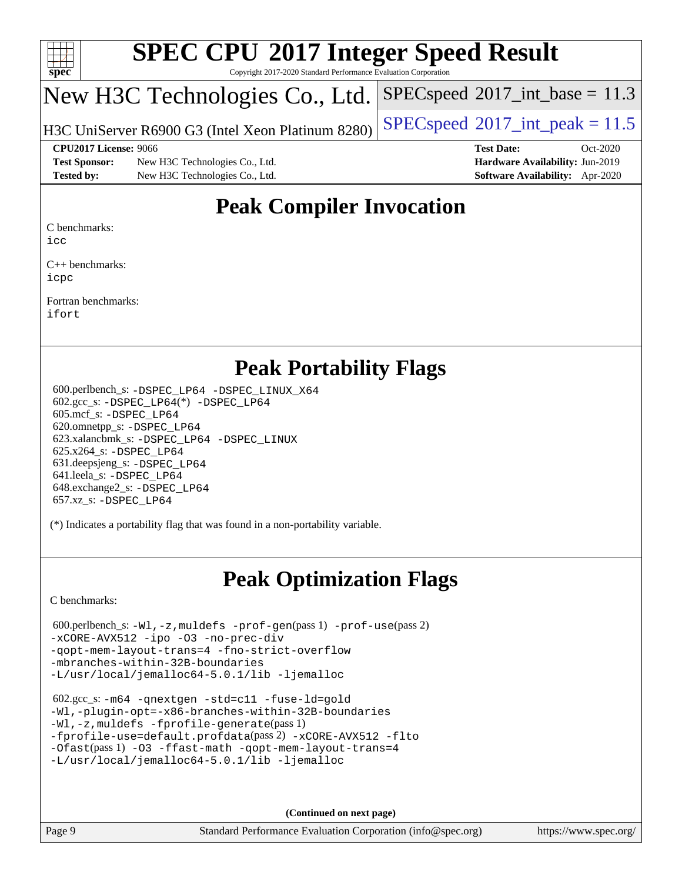

Copyright 2017-2020 Standard Performance Evaluation Corporation

## New H3C Technologies Co., Ltd.

H3C UniServer R6900 G3 (Intel Xeon Platinum 8280) [SPECspeed](http://www.spec.org/auto/cpu2017/Docs/result-fields.html#SPECspeed2017intpeak)®2017\_int\_peak =  $11.5$ 

 $SPECspeed^{\circledcirc}2017\_int\_base = 11.3$  $SPECspeed^{\circledcirc}2017\_int\_base = 11.3$ 

**[Test Sponsor:](http://www.spec.org/auto/cpu2017/Docs/result-fields.html#TestSponsor)** New H3C Technologies Co., Ltd. **[Hardware Availability:](http://www.spec.org/auto/cpu2017/Docs/result-fields.html#HardwareAvailability)** Jun-2019 **[Tested by:](http://www.spec.org/auto/cpu2017/Docs/result-fields.html#Testedby)** New H3C Technologies Co., Ltd. **[Software Availability:](http://www.spec.org/auto/cpu2017/Docs/result-fields.html#SoftwareAvailability)** Apr-2020

**[CPU2017 License:](http://www.spec.org/auto/cpu2017/Docs/result-fields.html#CPU2017License)** 9066 **[Test Date:](http://www.spec.org/auto/cpu2017/Docs/result-fields.html#TestDate)** Oct-2020

## **[Peak Compiler Invocation](http://www.spec.org/auto/cpu2017/Docs/result-fields.html#PeakCompilerInvocation)**

[C benchmarks](http://www.spec.org/auto/cpu2017/Docs/result-fields.html#Cbenchmarks):

[icc](http://www.spec.org/cpu2017/results/res2020q4/cpu2017-20201105-24340.flags.html#user_CCpeak_intel_icc_66fc1ee009f7361af1fbd72ca7dcefbb700085f36577c54f309893dd4ec40d12360134090235512931783d35fd58c0460139e722d5067c5574d8eaf2b3e37e92)

[C++ benchmarks:](http://www.spec.org/auto/cpu2017/Docs/result-fields.html#CXXbenchmarks) [icpc](http://www.spec.org/cpu2017/results/res2020q4/cpu2017-20201105-24340.flags.html#user_CXXpeak_intel_icpc_c510b6838c7f56d33e37e94d029a35b4a7bccf4766a728ee175e80a419847e808290a9b78be685c44ab727ea267ec2f070ec5dc83b407c0218cded6866a35d07)

[Fortran benchmarks](http://www.spec.org/auto/cpu2017/Docs/result-fields.html#Fortranbenchmarks): [ifort](http://www.spec.org/cpu2017/results/res2020q4/cpu2017-20201105-24340.flags.html#user_FCpeak_intel_ifort_8111460550e3ca792625aed983ce982f94888b8b503583aa7ba2b8303487b4d8a21a13e7191a45c5fd58ff318f48f9492884d4413fa793fd88dd292cad7027ca)

## **[Peak Portability Flags](http://www.spec.org/auto/cpu2017/Docs/result-fields.html#PeakPortabilityFlags)**

 600.perlbench\_s: [-DSPEC\\_LP64](http://www.spec.org/cpu2017/results/res2020q4/cpu2017-20201105-24340.flags.html#b600.perlbench_s_peakPORTABILITY_DSPEC_LP64) [-DSPEC\\_LINUX\\_X64](http://www.spec.org/cpu2017/results/res2020q4/cpu2017-20201105-24340.flags.html#b600.perlbench_s_peakCPORTABILITY_DSPEC_LINUX_X64) 602.gcc\_s: [-DSPEC\\_LP64](http://www.spec.org/cpu2017/results/res2020q4/cpu2017-20201105-24340.flags.html#suite_peakCCLD602_gcc_s_DSPEC_LP64)(\*) [-DSPEC\\_LP64](http://www.spec.org/cpu2017/results/res2020q4/cpu2017-20201105-24340.flags.html#suite_peakPORTABILITY602_gcc_s_DSPEC_LP64) 605.mcf\_s: [-DSPEC\\_LP64](http://www.spec.org/cpu2017/results/res2020q4/cpu2017-20201105-24340.flags.html#suite_peakPORTABILITY605_mcf_s_DSPEC_LP64) 620.omnetpp\_s: [-DSPEC\\_LP64](http://www.spec.org/cpu2017/results/res2020q4/cpu2017-20201105-24340.flags.html#suite_peakPORTABILITY620_omnetpp_s_DSPEC_LP64) 623.xalancbmk\_s: [-DSPEC\\_LP64](http://www.spec.org/cpu2017/results/res2020q4/cpu2017-20201105-24340.flags.html#suite_peakPORTABILITY623_xalancbmk_s_DSPEC_LP64) [-DSPEC\\_LINUX](http://www.spec.org/cpu2017/results/res2020q4/cpu2017-20201105-24340.flags.html#b623.xalancbmk_s_peakCXXPORTABILITY_DSPEC_LINUX) 625.x264\_s: [-DSPEC\\_LP64](http://www.spec.org/cpu2017/results/res2020q4/cpu2017-20201105-24340.flags.html#suite_peakPORTABILITY625_x264_s_DSPEC_LP64) 631.deepsjeng\_s: [-DSPEC\\_LP64](http://www.spec.org/cpu2017/results/res2020q4/cpu2017-20201105-24340.flags.html#suite_peakPORTABILITY631_deepsjeng_s_DSPEC_LP64) 641.leela\_s: [-DSPEC\\_LP64](http://www.spec.org/cpu2017/results/res2020q4/cpu2017-20201105-24340.flags.html#suite_peakPORTABILITY641_leela_s_DSPEC_LP64) 648.exchange2\_s: [-DSPEC\\_LP64](http://www.spec.org/cpu2017/results/res2020q4/cpu2017-20201105-24340.flags.html#suite_peakPORTABILITY648_exchange2_s_DSPEC_LP64) 657.xz\_s: [-DSPEC\\_LP64](http://www.spec.org/cpu2017/results/res2020q4/cpu2017-20201105-24340.flags.html#suite_peakPORTABILITY657_xz_s_DSPEC_LP64)

(\*) Indicates a portability flag that was found in a non-portability variable.

## **[Peak Optimization Flags](http://www.spec.org/auto/cpu2017/Docs/result-fields.html#PeakOptimizationFlags)**

[C benchmarks](http://www.spec.org/auto/cpu2017/Docs/result-fields.html#Cbenchmarks):

```
 600.perlbench_s: -Wl,-z,muldefs -prof-gen(pass 1) -prof-use(pass 2)
-xCORE-AVX512 -ipo -O3 -no-prec-div
-qopt-mem-layout-trans=4 -fno-strict-overflow
-mbranches-within-32B-boundaries
-L/usr/local/jemalloc64-5.0.1/lib -ljemalloc
```

```
 602.gcc_s: -m64 -qnextgen -std=c11 -fuse-ld=gold
-Wl,-plugin-opt=-x86-branches-within-32B-boundaries
-Wl,-z,muldefs -fprofile-generate(pass 1)
-fprofile-use=default.profdata(pass 2) -xCORE-AVX512 -flto
-Ofast(pass 1) -O3 -ffast-math -qopt-mem-layout-trans=4
-L/usr/local/jemalloc64-5.0.1/lib -ljemalloc
```
**(Continued on next page)**

Page 9 Standard Performance Evaluation Corporation [\(info@spec.org\)](mailto:info@spec.org) <https://www.spec.org/>